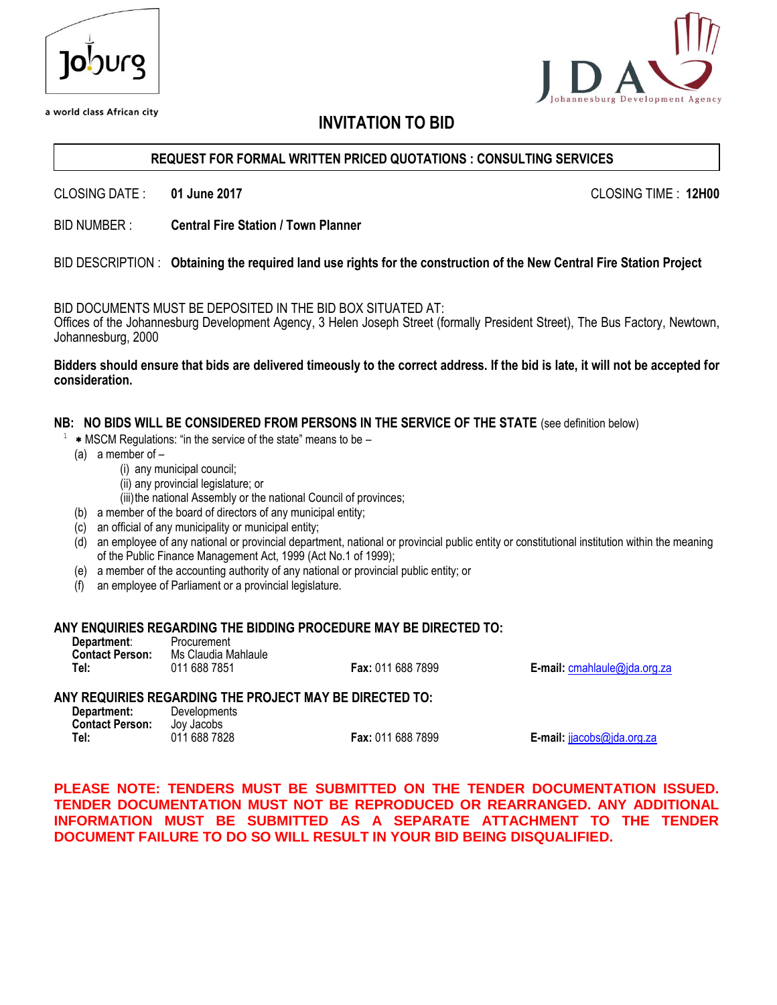| Jopnue |
|--------|
|        |

a world class African city

# pment Agency

# **INVITATION TO BID**

### **REQUEST FOR FORMAL WRITTEN PRICED QUOTATIONS : CONSULTING SERVICES**

CLOSING DATE : **01 June 2017** CLOSING TIME : **12H00**

BID NUMBER : **Central Fire Station / Town Planner**

### BID DESCRIPTION : **Obtaining the required land use rights for the construction of the New Central Fire Station Project**

BID DOCUMENTS MUST BE DEPOSITED IN THE BID BOX SITUATED AT:

Offices of the Johannesburg Development Agency, 3 Helen Joseph Street (formally President Street), The Bus Factory, Newtown, Johannesburg, 2000

### **Bidders should ensure that bids are delivered timeously to the correct address. If the bid is late, it will not be accepted for consideration.**

### **NB: NO BIDS WILL BE CONSIDERED FROM PERSONS IN THE SERVICE OF THE STATE** (see definition below)

- 1 MSCM Regulations: "in the service of the state" means to be –
	- (a) a member of
		- (i) any municipal council;
		- (ii) any provincial legislature; or
		- (iii) the national Assembly or the national Council of provinces;
	- (b) a member of the board of directors of any municipal entity;
	- (c) an official of any municipality or municipal entity;
	- (d) an employee of any national or provincial department, national or provincial public entity or constitutional institution within the meaning of the Public Finance Management Act, 1999 (Act No.1 of 1999);
	- (e) a member of the accounting authority of any national or provincial public entity; or
	- (f) an employee of Parliament or a provincial legislature.

### **ANY ENQUIRIES REGARDING THE BIDDING PROCEDURE MAY BE DIRECTED TO:**

| Department:            | Procurement         |                          |
|------------------------|---------------------|--------------------------|
| <b>Contact Person:</b> | Ms Claudia Mahlaule |                          |
| Tel:                   | 011 688 7851        | <b>Fax: 011 688 7899</b> |

**E-mail: [cmahlaule@jda.org.za](mailto:cmahlaule@jda.org.za)** 

### **ANY REQUIRIES REGARDING THE PROJECT MAY BE DIRECTED TO:**

| Department:            | Developments |                  |
|------------------------|--------------|------------------|
| <b>Contact Person:</b> | Joy Jacobs   |                  |
| Tel:                   | 011 688 7828 | <b>Fax: 0111</b> |

**Tel:** 011 688 7828 **Fax:** 011 688 7899 **E-mail:** [jjacobs@jda.org.za](mailto:jjacobs@jda.org.za)

**PLEASE NOTE: TENDERS MUST BE SUBMITTED ON THE TENDER DOCUMENTATION ISSUED. TENDER DOCUMENTATION MUST NOT BE REPRODUCED OR REARRANGED. ANY ADDITIONAL INFORMATION MUST BE SUBMITTED AS A SEPARATE ATTACHMENT TO THE TENDER DOCUMENT FAILURE TO DO SO WILL RESULT IN YOUR BID BEING DISQUALIFIED.**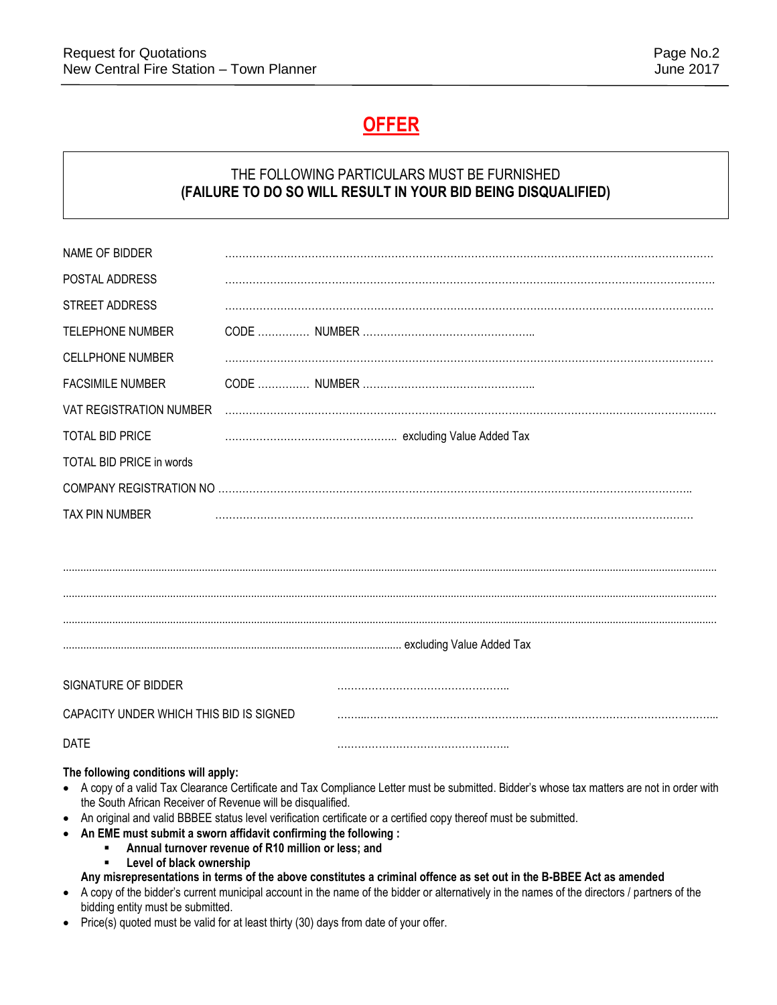# **OFFER**

# THE FOLLOWING PARTICULARS MUST BE FURNISHED **(FAILURE TO DO SO WILL RESULT IN YOUR BID BEING DISQUALIFIED)**

| NAME OF BIDDER                                                                                                                                                                                                                                     |  |  |  |
|----------------------------------------------------------------------------------------------------------------------------------------------------------------------------------------------------------------------------------------------------|--|--|--|
| POSTAL ADDRESS                                                                                                                                                                                                                                     |  |  |  |
| STREET ADDRESS                                                                                                                                                                                                                                     |  |  |  |
| <b>TELEPHONE NUMBER</b>                                                                                                                                                                                                                            |  |  |  |
| <b>CELLPHONE NUMBER</b>                                                                                                                                                                                                                            |  |  |  |
| <b>FACSIMILE NUMBER</b>                                                                                                                                                                                                                            |  |  |  |
| VAT REGISTRATION NUMBER                                                                                                                                                                                                                            |  |  |  |
| <b>TOTAL BID PRICE</b>                                                                                                                                                                                                                             |  |  |  |
| TOTAL BID PRICE in words                                                                                                                                                                                                                           |  |  |  |
|                                                                                                                                                                                                                                                    |  |  |  |
| <b>TAX PIN NUMBER</b>                                                                                                                                                                                                                              |  |  |  |
|                                                                                                                                                                                                                                                    |  |  |  |
|                                                                                                                                                                                                                                                    |  |  |  |
|                                                                                                                                                                                                                                                    |  |  |  |
|                                                                                                                                                                                                                                                    |  |  |  |
|                                                                                                                                                                                                                                                    |  |  |  |
|                                                                                                                                                                                                                                                    |  |  |  |
| SIGNATURE OF BIDDER                                                                                                                                                                                                                                |  |  |  |
| CAPACITY UNDER WHICH THIS BID IS SIGNED                                                                                                                                                                                                            |  |  |  |
| <b>DATE</b>                                                                                                                                                                                                                                        |  |  |  |
| The following conditions will apply:<br>• A copy of a valid Tax Clearance Certificate and Tax Compliance Letter must be submitted. Bidder's whose tax matters are not in order with<br>the South African Receiver of Revenue will be disqualified. |  |  |  |

- An original and valid BBBEE status level verification certificate or a certified copy thereof must be submitted.
- **An EME must submit a sworn affidavit confirming the following :** 
	- **Annual turnover revenue of R10 million or less; and**
	- **Level of black ownership**
	- **Any misrepresentations in terms of the above constitutes a criminal offence as set out in the B-BBEE Act as amended**
- A copy of the bidder's current municipal account in the name of the bidder or alternatively in the names of the directors / partners of the bidding entity must be submitted.
- Price(s) quoted must be valid for at least thirty (30) days from date of your offer.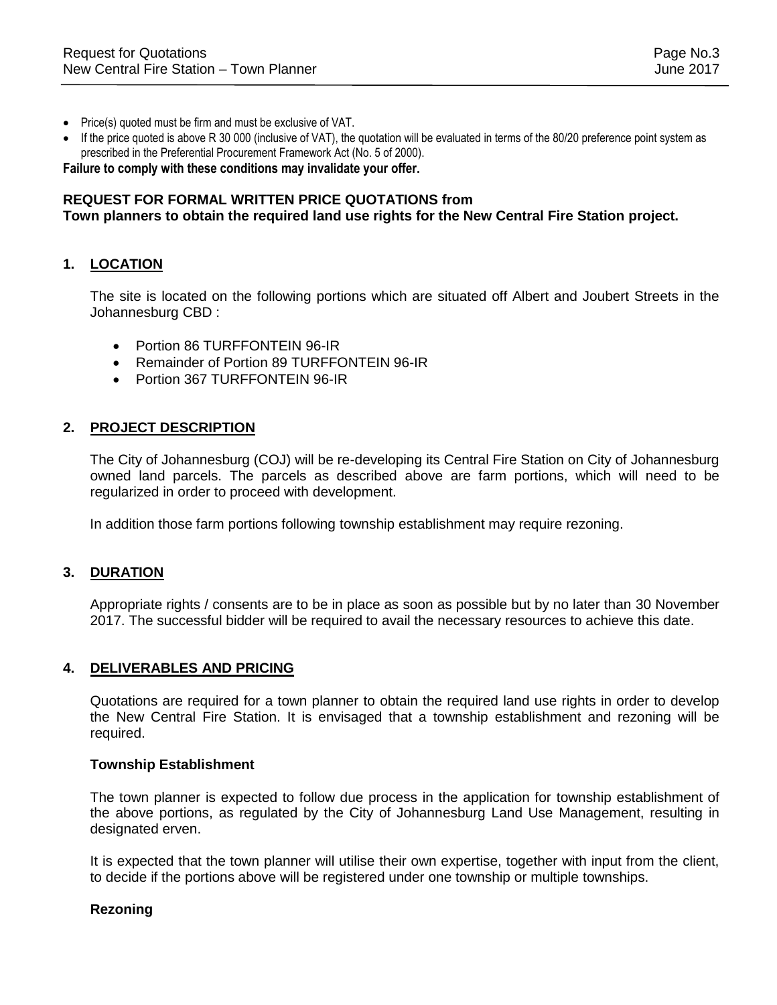- Price(s) quoted must be firm and must be exclusive of VAT.
- If the price quoted is above R 30 000 (inclusive of VAT), the quotation will be evaluated in terms of the 80/20 preference point system as prescribed in the Preferential Procurement Framework Act (No. 5 of 2000).

**Failure to comply with these conditions may invalidate your offer.**

### **REQUEST FOR FORMAL WRITTEN PRICE QUOTATIONS from**

### **Town planners to obtain the required land use rights for the New Central Fire Station project.**

### **1. LOCATION**

The site is located on the following portions which are situated off Albert and Joubert Streets in the Johannesburg CBD :

- **•** Portion 86 TURFFONTFIN 96-IR
- Remainder of Portion 89 TURFFONTEIN 96-IR
- Portion 367 TURFFONTEIN 96-IR

### **2. PROJECT DESCRIPTION**

The City of Johannesburg (COJ) will be re-developing its Central Fire Station on City of Johannesburg owned land parcels. The parcels as described above are farm portions, which will need to be regularized in order to proceed with development.

In addition those farm portions following township establishment may require rezoning.

### **3. DURATION**

Appropriate rights / consents are to be in place as soon as possible but by no later than 30 November 2017. The successful bidder will be required to avail the necessary resources to achieve this date.

### **4. DELIVERABLES AND PRICING**

Quotations are required for a town planner to obtain the required land use rights in order to develop the New Central Fire Station. It is envisaged that a township establishment and rezoning will be required.

### **Township Establishment**

The town planner is expected to follow due process in the application for township establishment of the above portions, as regulated by the City of Johannesburg Land Use Management, resulting in designated erven.

It is expected that the town planner will utilise their own expertise, together with input from the client, to decide if the portions above will be registered under one township or multiple townships.

### **Rezoning**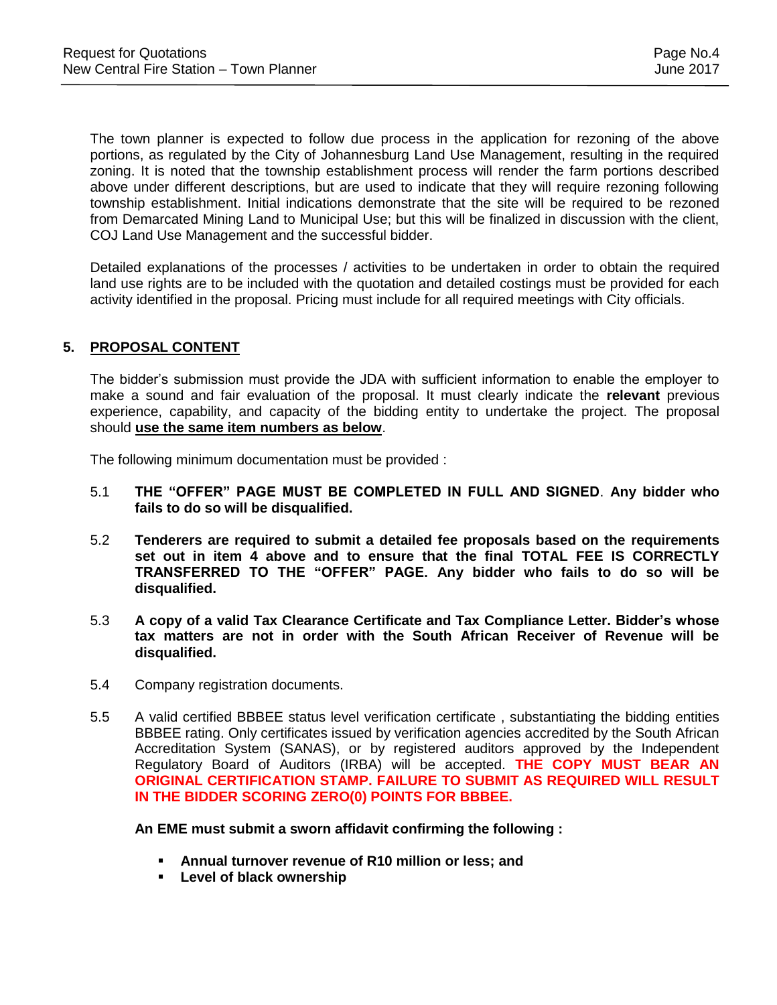The town planner is expected to follow due process in the application for rezoning of the above portions, as regulated by the City of Johannesburg Land Use Management, resulting in the required zoning. It is noted that the township establishment process will render the farm portions described above under different descriptions, but are used to indicate that they will require rezoning following township establishment. Initial indications demonstrate that the site will be required to be rezoned from Demarcated Mining Land to Municipal Use; but this will be finalized in discussion with the client, COJ Land Use Management and the successful bidder.

Detailed explanations of the processes / activities to be undertaken in order to obtain the required land use rights are to be included with the quotation and detailed costings must be provided for each activity identified in the proposal. Pricing must include for all required meetings with City officials.

### **5. PROPOSAL CONTENT**

The bidder's submission must provide the JDA with sufficient information to enable the employer to make a sound and fair evaluation of the proposal. It must clearly indicate the **relevant** previous experience, capability, and capacity of the bidding entity to undertake the project. The proposal should **use the same item numbers as below**.

The following minimum documentation must be provided :

- 5.1 **THE "OFFER" PAGE MUST BE COMPLETED IN FULL AND SIGNED**. **Any bidder who fails to do so will be disqualified.**
- 5.2 **Tenderers are required to submit a detailed fee proposals based on the requirements set out in item 4 above and to ensure that the final TOTAL FEE IS CORRECTLY TRANSFERRED TO THE "OFFER" PAGE. Any bidder who fails to do so will be disqualified.**
- 5.3 **A copy of a valid Tax Clearance Certificate and Tax Compliance Letter. Bidder's whose tax matters are not in order with the South African Receiver of Revenue will be disqualified.**
- 5.4 Company registration documents.
- 5.5 A valid certified BBBEE status level verification certificate , substantiating the bidding entities BBBEE rating. Only certificates issued by verification agencies accredited by the South African Accreditation System (SANAS), or by registered auditors approved by the Independent Regulatory Board of Auditors (IRBA) will be accepted. **THE COPY MUST BEAR AN ORIGINAL CERTIFICATION STAMP. FAILURE TO SUBMIT AS REQUIRED WILL RESULT IN THE BIDDER SCORING ZERO(0) POINTS FOR BBBEE.**

**An EME must submit a sworn affidavit confirming the following :**

- **Annual turnover revenue of R10 million or less; and**
- **Level of black ownership**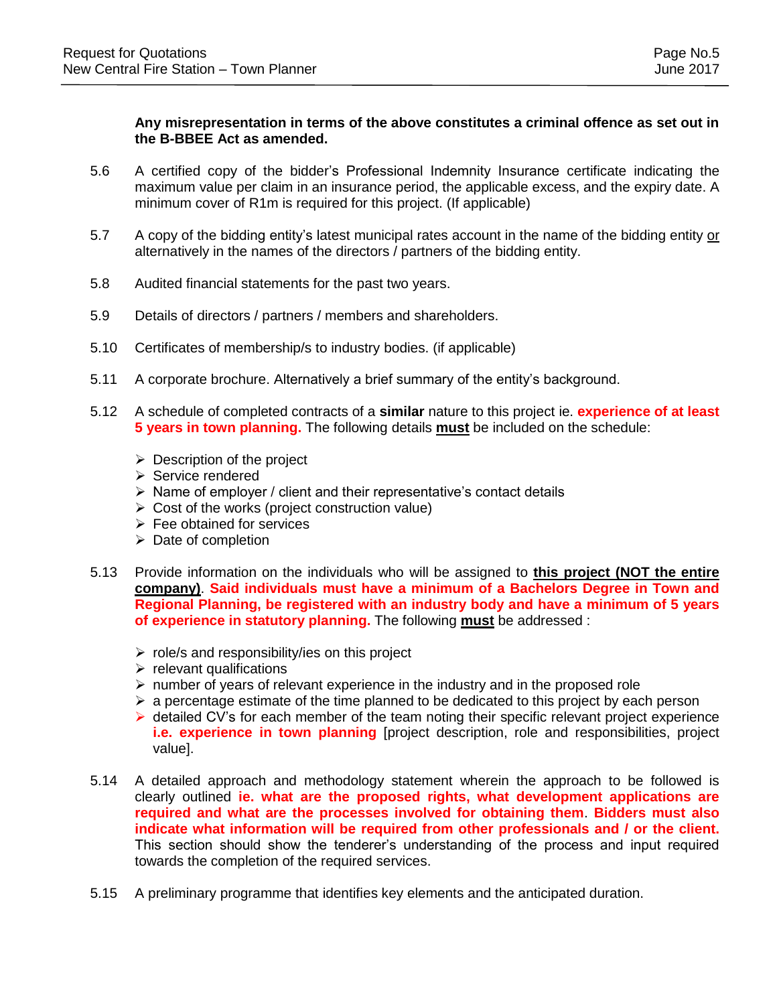### **Any misrepresentation in terms of the above constitutes a criminal offence as set out in the B-BBEE Act as amended.**

- 5.6 A certified copy of the bidder's Professional Indemnity Insurance certificate indicating the maximum value per claim in an insurance period, the applicable excess, and the expiry date. A minimum cover of R1m is required for this project. (If applicable)
- 5.7 A copy of the bidding entity's latest municipal rates account in the name of the bidding entity or alternatively in the names of the directors / partners of the bidding entity.
- 5.8 Audited financial statements for the past two years.
- 5.9 Details of directors / partners / members and shareholders.
- 5.10 Certificates of membership/s to industry bodies. (if applicable)
- 5.11 A corporate brochure. Alternatively a brief summary of the entity's background.
- 5.12 A schedule of completed contracts of a **similar** nature to this project ie. **experience of at least 5 years in town planning.** The following details **must** be included on the schedule:
	- $\triangleright$  Description of the project
	- $\triangleright$  Service rendered
	- $\triangleright$  Name of employer / client and their representative's contact details
	- $\triangleright$  Cost of the works (project construction value)
	- $\triangleright$  Fee obtained for services
	- $\triangleright$  Date of completion
- 5.13 Provide information on the individuals who will be assigned to **this project (NOT the entire company)**. **Said individuals must have a minimum of a Bachelors Degree in Town and Regional Planning, be registered with an industry body and have a minimum of 5 years of experience in statutory planning.** The following **must** be addressed :
	- $\triangleright$  role/s and responsibility/ies on this project
	- $\triangleright$  relevant qualifications
	- $\triangleright$  number of years of relevant experience in the industry and in the proposed role
	- $\triangleright$  a percentage estimate of the time planned to be dedicated to this project by each person
	- $\triangleright$  detailed CV's for each member of the team noting their specific relevant project experience **i.e. experience in town planning** [project description, role and responsibilities, project value].
- 5.14 A detailed approach and methodology statement wherein the approach to be followed is clearly outlined **ie. what are the proposed rights, what development applications are required and what are the processes involved for obtaining them**. **Bidders must also indicate what information will be required from other professionals and / or the client.** This section should show the tenderer's understanding of the process and input required towards the completion of the required services.
- 5.15 A preliminary programme that identifies key elements and the anticipated duration.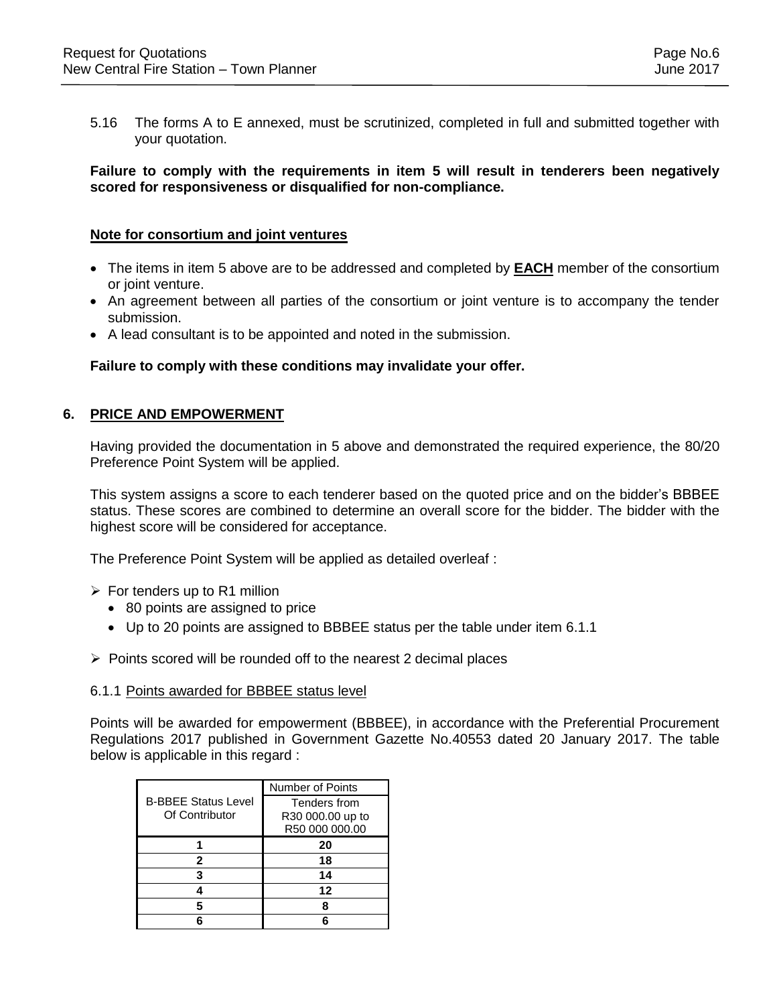5.16 The forms A to E annexed, must be scrutinized, completed in full and submitted together with your quotation.

### **Failure to comply with the requirements in item 5 will result in tenderers been negatively scored for responsiveness or disqualified for non-compliance.**

### **Note for consortium and joint ventures**

- The items in item 5 above are to be addressed and completed by **EACH** member of the consortium or joint venture.
- An agreement between all parties of the consortium or joint venture is to accompany the tender submission.
- A lead consultant is to be appointed and noted in the submission.

### **Failure to comply with these conditions may invalidate your offer.**

### **6. PRICE AND EMPOWERMENT**

Having provided the documentation in 5 above and demonstrated the required experience, the 80/20 Preference Point System will be applied.

This system assigns a score to each tenderer based on the quoted price and on the bidder's BBBEE status. These scores are combined to determine an overall score for the bidder. The bidder with the highest score will be considered for acceptance.

The Preference Point System will be applied as detailed overleaf :

- $\triangleright$  For tenders up to R1 million
	- 80 points are assigned to price
	- Up to 20 points are assigned to BBBEE status per the table under item 6.1.1
- $\triangleright$  Points scored will be rounded off to the nearest 2 decimal places

### 6.1.1 Points awarded for BBBEE status level

Points will be awarded for empowerment (BBBEE), in accordance with the Preferential Procurement Regulations 2017 published in Government Gazette No.40553 dated 20 January 2017. The table below is applicable in this regard :

|                            | Number of Points |
|----------------------------|------------------|
| <b>B-BBEE Status Level</b> | Tenders from     |
| Of Contributor             | R30 000.00 up to |
|                            | R50 000 000.00   |
|                            | 20               |
| 2                          | 18               |
|                            | 14               |
|                            | 12               |
|                            |                  |
|                            |                  |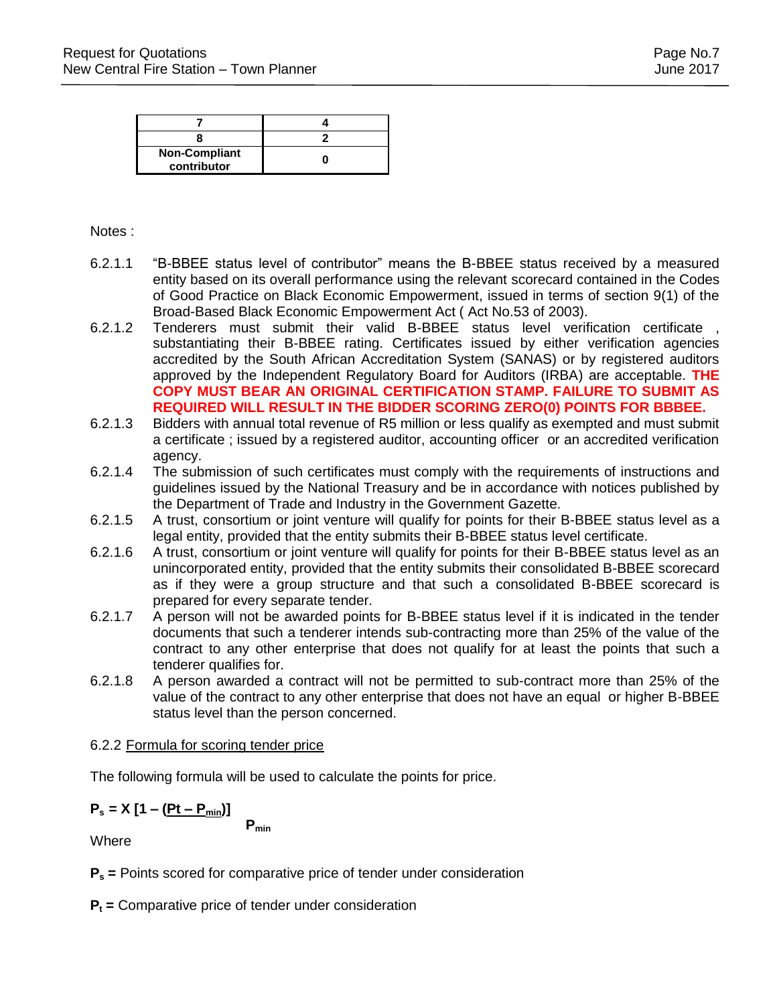| <b>Non-Compliant</b><br>contributor |  |
|-------------------------------------|--|

### Notes :

- 6.2.1.1 "B-BBEE status level of contributor" means the B-BBEE status received by a measured entity based on its overall performance using the relevant scorecard contained in the Codes of Good Practice on Black Economic Empowerment, issued in terms of section 9(1) of the Broad-Based Black Economic Empowerment Act ( Act No.53 of 2003).
- 6.2.1.2 Tenderers must submit their valid B-BBEE status level verification certificate , substantiating their B-BBEE rating. Certificates issued by either verification agencies accredited by the South African Accreditation System (SANAS) or by registered auditors approved by the Independent Regulatory Board for Auditors (IRBA) are acceptable. **THE COPY MUST BEAR AN ORIGINAL CERTIFICATION STAMP. FAILURE TO SUBMIT AS REQUIRED WILL RESULT IN THE BIDDER SCORING ZERO(0) POINTS FOR BBBEE.**
- 6.2.1.3 Bidders with annual total revenue of R5 million or less qualify as exempted and must submit a certificate ; issued by a registered auditor, accounting officer or an accredited verification agency.
- 6.2.1.4 The submission of such certificates must comply with the requirements of instructions and guidelines issued by the National Treasury and be in accordance with notices published by the Department of Trade and Industry in the Government Gazette.
- 6.2.1.5 A trust, consortium or joint venture will qualify for points for their B-BBEE status level as a legal entity, provided that the entity submits their B-BBEE status level certificate.
- 6.2.1.6 A trust, consortium or joint venture will qualify for points for their B-BBEE status level as an unincorporated entity, provided that the entity submits their consolidated B-BBEE scorecard as if they were a group structure and that such a consolidated B-BBEE scorecard is prepared for every separate tender.
- 6.2.1.7 A person will not be awarded points for B-BBEE status level if it is indicated in the tender documents that such a tenderer intends sub-contracting more than 25% of the value of the contract to any other enterprise that does not qualify for at least the points that such a tenderer qualifies for.
- 6.2.1.8 A person awarded a contract will not be permitted to sub-contract more than 25% of the value of the contract to any other enterprise that does not have an equal or higher B-BBEE status level than the person concerned.

### 6.2.2 Formula for scoring tender price

The following formula will be used to calculate the points for price.

# $P_s = X [1 - (Pt - P_{min})]$

**Pmin**

**Where** 

**P<sup>s</sup> =** Points scored for comparative price of tender under consideration

**P<sup>t</sup> =** Comparative price of tender under consideration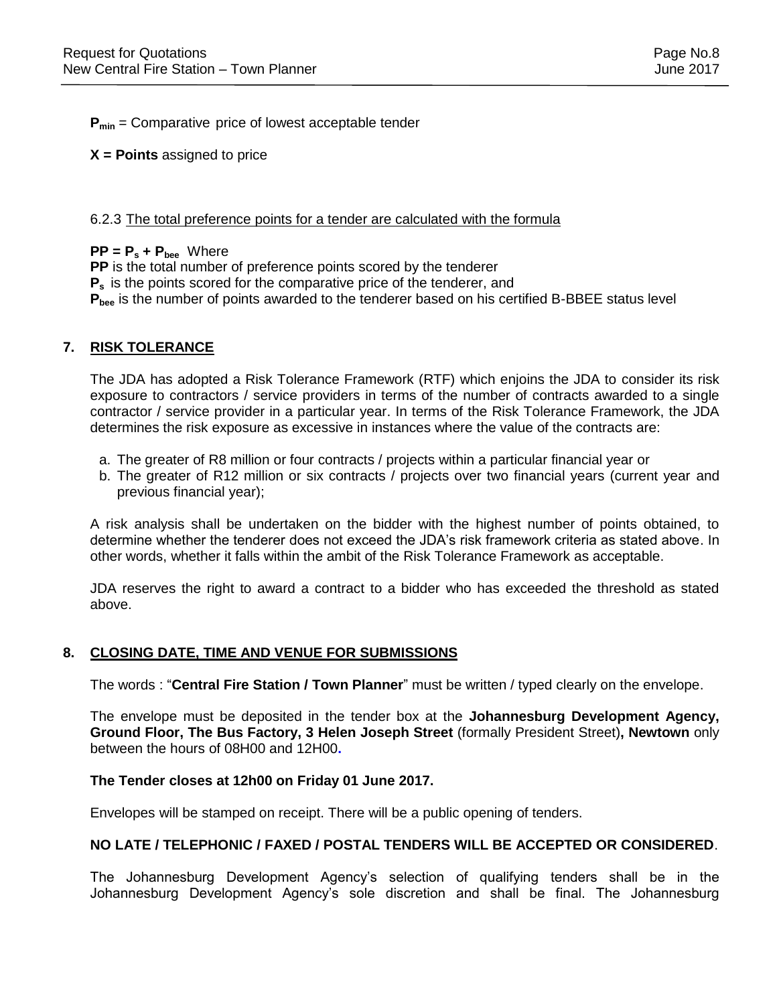**Pmin** = Comparative price of lowest acceptable tender

**X = Points** assigned to price

### 6.2.3 The total preference points for a tender are calculated with the formula

### $PP = P_s + P_{bee}$  Where

**PP** is the total number of preference points scored by the tenderer **P<sup>s</sup>** is the points scored for the comparative price of the tenderer, and **Pbee** is the number of points awarded to the tenderer based on his certified B-BBEE status level

### **7. RISK TOLERANCE**

The JDA has adopted a Risk Tolerance Framework (RTF) which enjoins the JDA to consider its risk exposure to contractors / service providers in terms of the number of contracts awarded to a single contractor / service provider in a particular year. In terms of the Risk Tolerance Framework, the JDA determines the risk exposure as excessive in instances where the value of the contracts are:

- a. The greater of R8 million or four contracts / projects within a particular financial year or
- b. The greater of R12 million or six contracts / projects over two financial years (current year and previous financial year);

A risk analysis shall be undertaken on the bidder with the highest number of points obtained, to determine whether the tenderer does not exceed the JDA's risk framework criteria as stated above. In other words, whether it falls within the ambit of the Risk Tolerance Framework as acceptable.

JDA reserves the right to award a contract to a bidder who has exceeded the threshold as stated above.

### **8. CLOSING DATE, TIME AND VENUE FOR SUBMISSIONS**

The words : "**Central Fire Station / Town Planner**" must be written / typed clearly on the envelope.

The envelope must be deposited in the tender box at the **Johannesburg Development Agency, Ground Floor, The Bus Factory, 3 Helen Joseph Street** (formally President Street)**, Newtown** only between the hours of 08H00 and 12H00**.** 

### **The Tender closes at 12h00 on Friday 01 June 2017.**

Envelopes will be stamped on receipt. There will be a public opening of tenders.

### **NO LATE / TELEPHONIC / FAXED / POSTAL TENDERS WILL BE ACCEPTED OR CONSIDERED**.

The Johannesburg Development Agency's selection of qualifying tenders shall be in the Johannesburg Development Agency's sole discretion and shall be final. The Johannesburg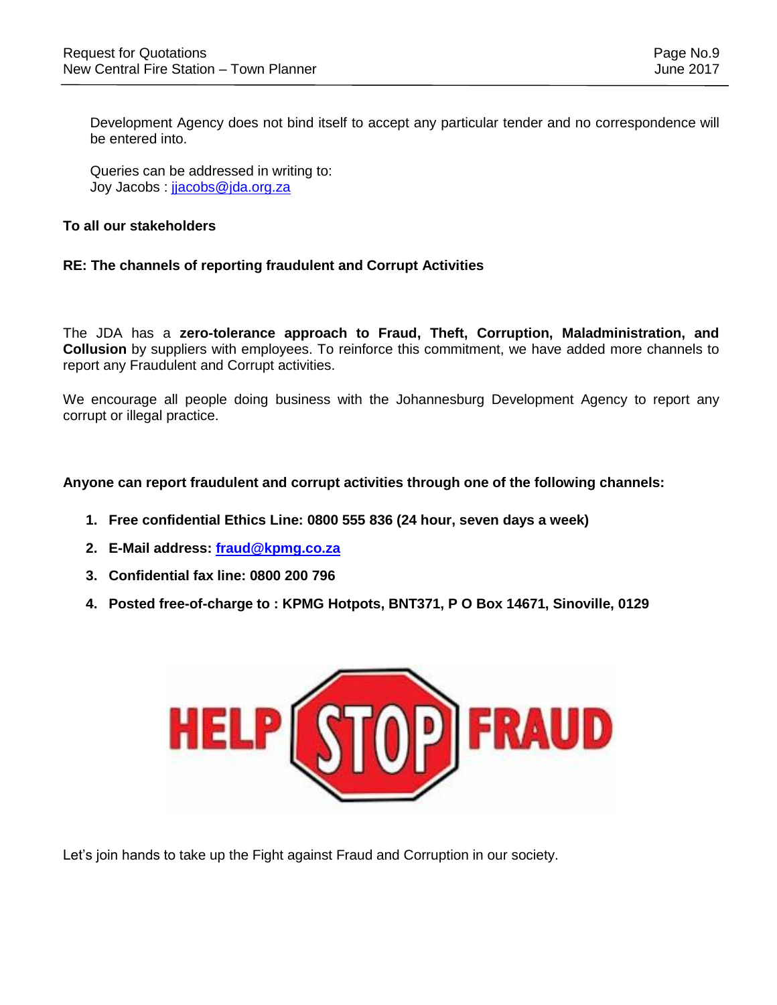Development Agency does not bind itself to accept any particular tender and no correspondence will be entered into.

Queries can be addressed in writing to: Joy Jacobs : [jjacobs@jda.org.za](mailto:cmahlaule@jda.org.za)

### **To all our stakeholders**

### **RE: The channels of reporting fraudulent and Corrupt Activities**

The JDA has a **zero-tolerance approach to Fraud, Theft, Corruption, Maladministration, and Collusion** by suppliers with employees. To reinforce this commitment, we have added more channels to report any Fraudulent and Corrupt activities.

We encourage all people doing business with the Johannesburg Development Agency to report any corrupt or illegal practice.

### **Anyone can report fraudulent and corrupt activities through one of the following channels:**

- **1. Free confidential Ethics Line: 0800 555 836 (24 hour, seven days a week)**
- **2. E-Mail address: [fraud@kpmg.co.za](mailto:fraud@kpmg.co.za)**
- **3. Confidential fax line: 0800 200 796**
- **4. Posted free-of-charge to : KPMG Hotpots, BNT371, P O Box 14671, Sinoville, 0129**



Let's join hands to take up the Fight against Fraud and Corruption in our society.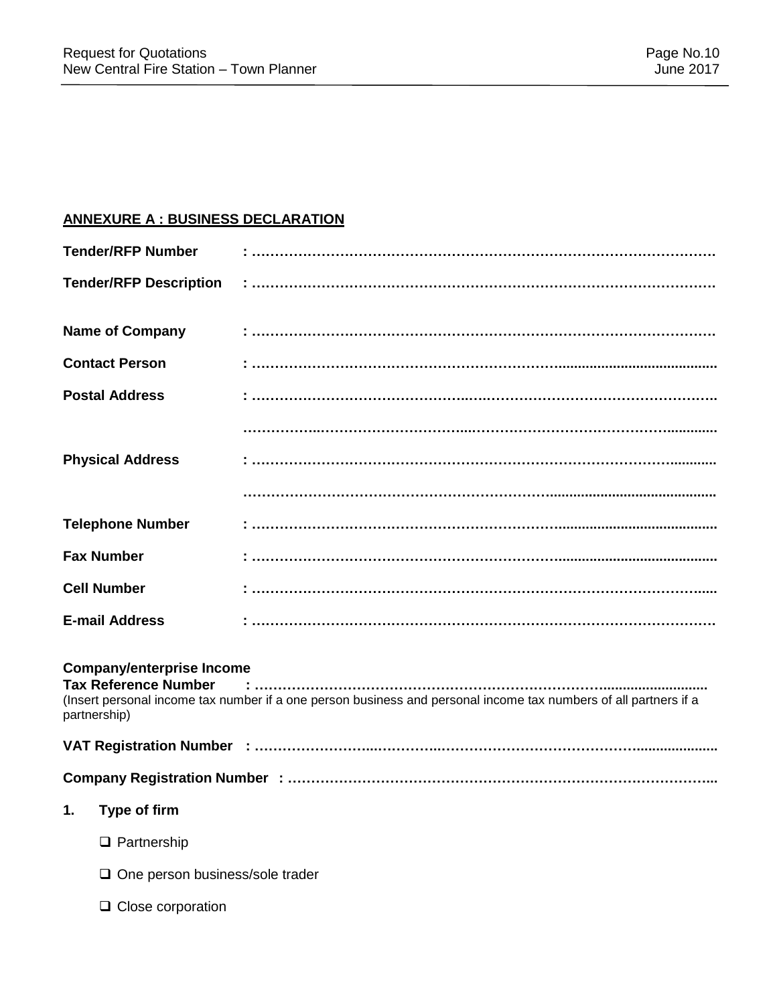# **ANNEXURE A : BUSINESS DECLARATION**

|    | <b>Tender/RFP Number</b>                                                        |                                                                                                                  |
|----|---------------------------------------------------------------------------------|------------------------------------------------------------------------------------------------------------------|
|    | <b>Tender/RFP Description</b>                                                   |                                                                                                                  |
|    | <b>Name of Company</b>                                                          |                                                                                                                  |
|    | <b>Contact Person</b>                                                           |                                                                                                                  |
|    | <b>Postal Address</b>                                                           |                                                                                                                  |
|    |                                                                                 |                                                                                                                  |
|    | <b>Physical Address</b>                                                         |                                                                                                                  |
|    |                                                                                 |                                                                                                                  |
|    | <b>Telephone Number</b>                                                         |                                                                                                                  |
|    | <b>Fax Number</b>                                                               |                                                                                                                  |
|    | <b>Cell Number</b>                                                              |                                                                                                                  |
|    | <b>E-mail Address</b>                                                           |                                                                                                                  |
|    | <b>Company/enterprise Income</b><br><b>Tax Reference Number</b><br>partnership) | (Insert personal income tax number if a one person business and personal income tax numbers of all partners if a |
|    |                                                                                 |                                                                                                                  |
|    |                                                                                 |                                                                                                                  |
| 1. | Type of firm                                                                    |                                                                                                                  |
|    | $\Box$ Partnership                                                              |                                                                                                                  |
|    | $\Box$ One person business/sole trader                                          |                                                                                                                  |
|    | $\Box$ Close corporation                                                        |                                                                                                                  |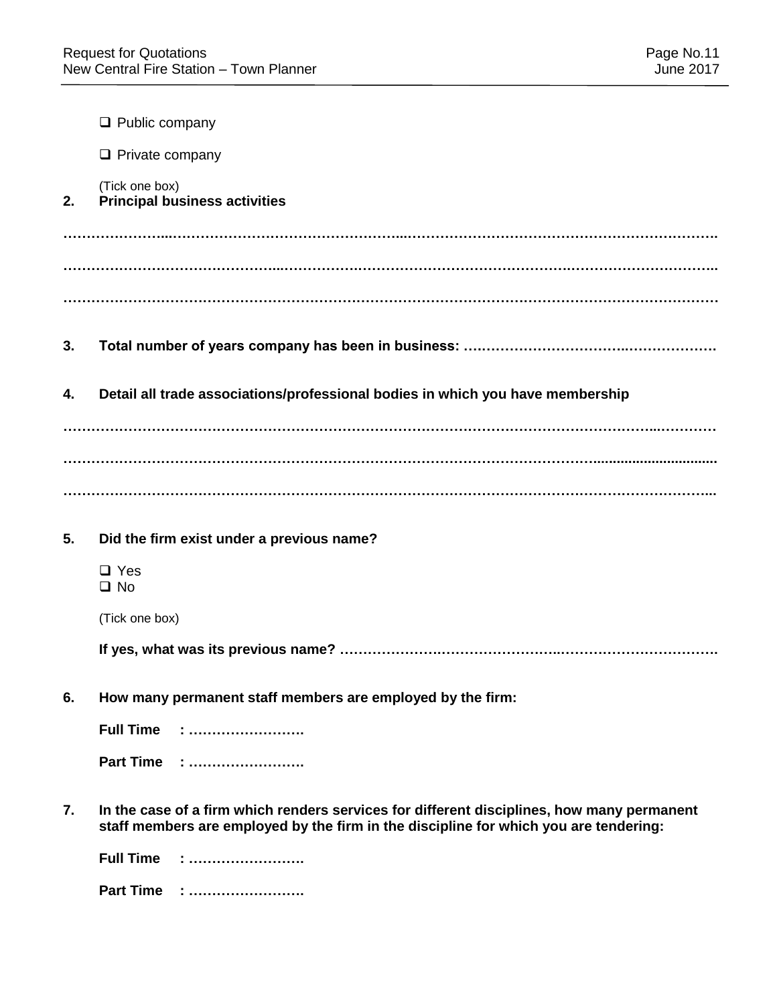|    | $\Box$ Public company                                                                                                                                                               |
|----|-------------------------------------------------------------------------------------------------------------------------------------------------------------------------------------|
|    | $\Box$ Private company                                                                                                                                                              |
| 2. | (Tick one box)<br><b>Principal business activities</b>                                                                                                                              |
|    |                                                                                                                                                                                     |
|    |                                                                                                                                                                                     |
|    |                                                                                                                                                                                     |
| 3. |                                                                                                                                                                                     |
| 4. | Detail all trade associations/professional bodies in which you have membership                                                                                                      |
|    |                                                                                                                                                                                     |
|    |                                                                                                                                                                                     |
|    |                                                                                                                                                                                     |
| 5. | Did the firm exist under a previous name?                                                                                                                                           |
|    | $\Box$ Yes<br>$\square$ No                                                                                                                                                          |
|    | (Tick one box)                                                                                                                                                                      |
|    |                                                                                                                                                                                     |
| 6. | How many permanent staff members are employed by the firm:                                                                                                                          |
|    | <b>Full Time</b>                                                                                                                                                                    |
|    | Part Time :                                                                                                                                                                         |
| 7. | In the case of a firm which renders services for different disciplines, how many permanent<br>staff members are employed by the firm in the discipline for which you are tendering: |
|    | <b>Full Time</b>                                                                                                                                                                    |
|    | Part Time :                                                                                                                                                                         |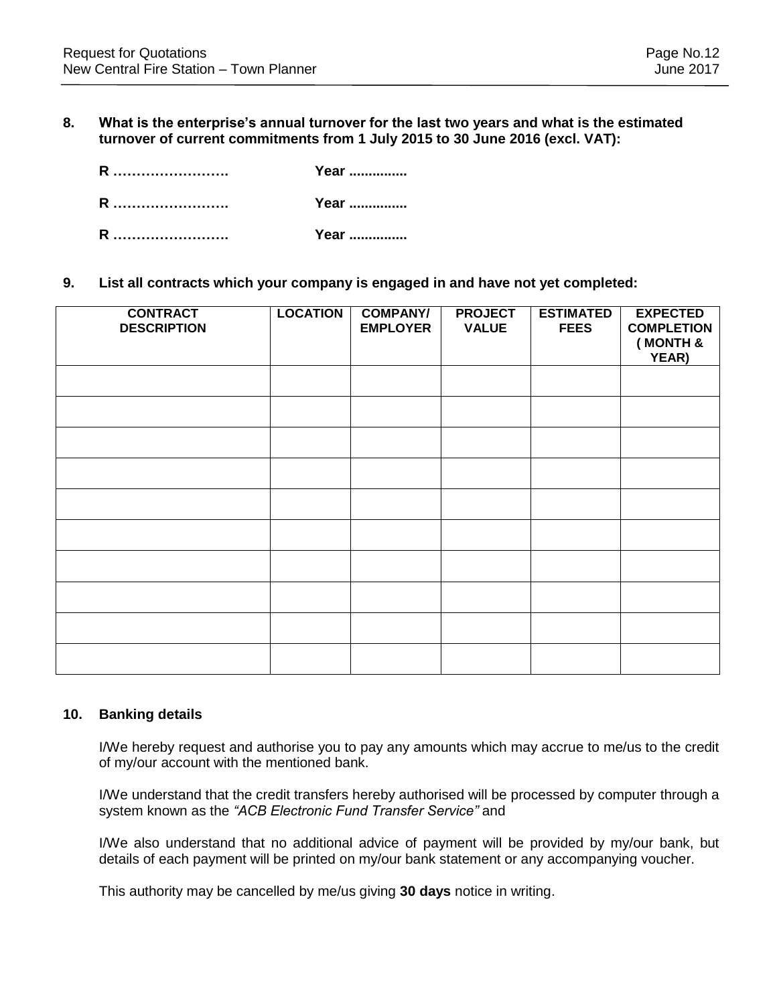### **8. What is the enterprise's annual turnover for the last two years and what is the estimated turnover of current commitments from 1 July 2015 to 30 June 2016 (excl. VAT):**

| R | Year |
|---|------|
| R | Year |
| R | Year |

### **9. List all contracts which your company is engaged in and have not yet completed:**

| <b>CONTRACT</b><br><b>DESCRIPTION</b> | <b>LOCATION</b> | <b>COMPANY/</b><br><b>EMPLOYER</b> | <b>PROJECT</b><br><b>VALUE</b> | <b>ESTIMATED</b><br><b>FEES</b> | <b>EXPECTED</b><br><b>COMPLETION</b><br>(MONTH &<br>YEAR) |
|---------------------------------------|-----------------|------------------------------------|--------------------------------|---------------------------------|-----------------------------------------------------------|
|                                       |                 |                                    |                                |                                 |                                                           |
|                                       |                 |                                    |                                |                                 |                                                           |
|                                       |                 |                                    |                                |                                 |                                                           |
|                                       |                 |                                    |                                |                                 |                                                           |
|                                       |                 |                                    |                                |                                 |                                                           |
|                                       |                 |                                    |                                |                                 |                                                           |
|                                       |                 |                                    |                                |                                 |                                                           |
|                                       |                 |                                    |                                |                                 |                                                           |
|                                       |                 |                                    |                                |                                 |                                                           |
|                                       |                 |                                    |                                |                                 |                                                           |

### **10. Banking details**

I/We hereby request and authorise you to pay any amounts which may accrue to me/us to the credit of my/our account with the mentioned bank.

I/We understand that the credit transfers hereby authorised will be processed by computer through a system known as the *"ACB Electronic Fund Transfer Service"* and

I/We also understand that no additional advice of payment will be provided by my/our bank, but details of each payment will be printed on my/our bank statement or any accompanying voucher.

This authority may be cancelled by me/us giving **30 days** notice in writing.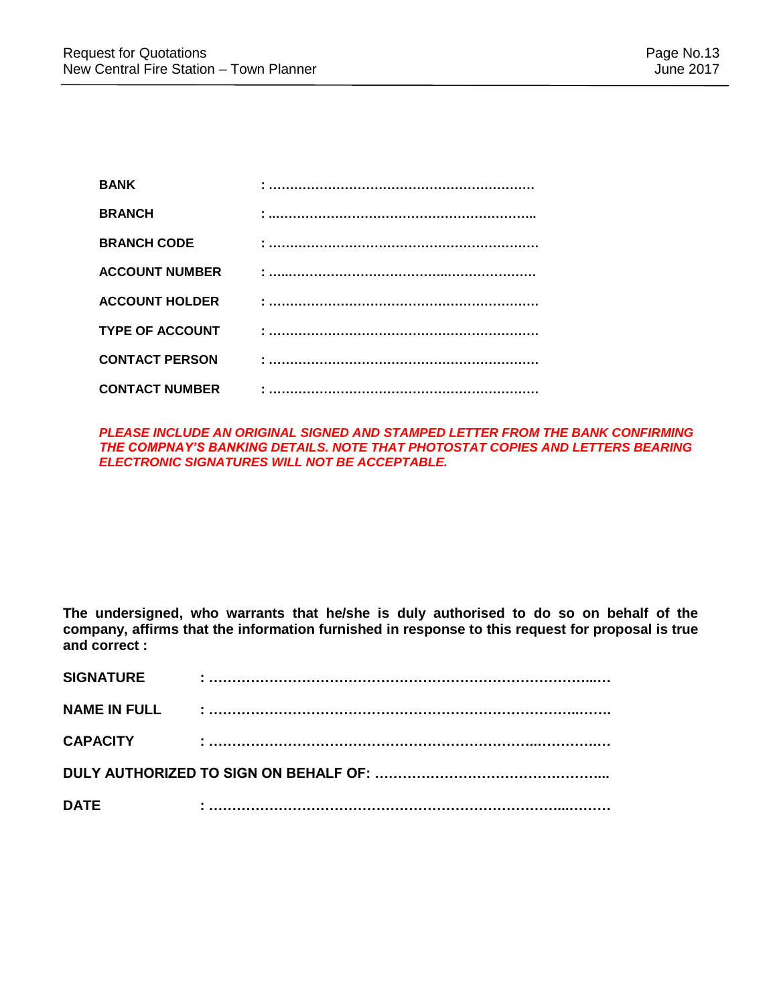| <b>BANK</b>            |  |
|------------------------|--|
| <b>BRANCH</b>          |  |
| <b>BRANCH CODE</b>     |  |
| <b>ACCOUNT NUMBER</b>  |  |
| <b>ACCOUNT HOLDER</b>  |  |
| <b>TYPE OF ACCOUNT</b> |  |
| <b>CONTACT PERSON</b>  |  |
| <b>CONTACT NUMBER</b>  |  |

### *PLEASE INCLUDE AN ORIGINAL SIGNED AND STAMPED LETTER FROM THE BANK CONFIRMING THE COMPNAY'S BANKING DETAILS. NOTE THAT PHOTOSTAT COPIES AND LETTERS BEARING ELECTRONIC SIGNATURES WILL NOT BE ACCEPTABLE.*

**The undersigned, who warrants that he/she is duly authorised to do so on behalf of the company, affirms that the information furnished in response to this request for proposal is true and correct :**

| <b>SIGNATURE</b>    |  |  |
|---------------------|--|--|
| <b>NAME IN FULL</b> |  |  |
| <b>CAPACITY</b>     |  |  |
|                     |  |  |
| <b>DATE</b>         |  |  |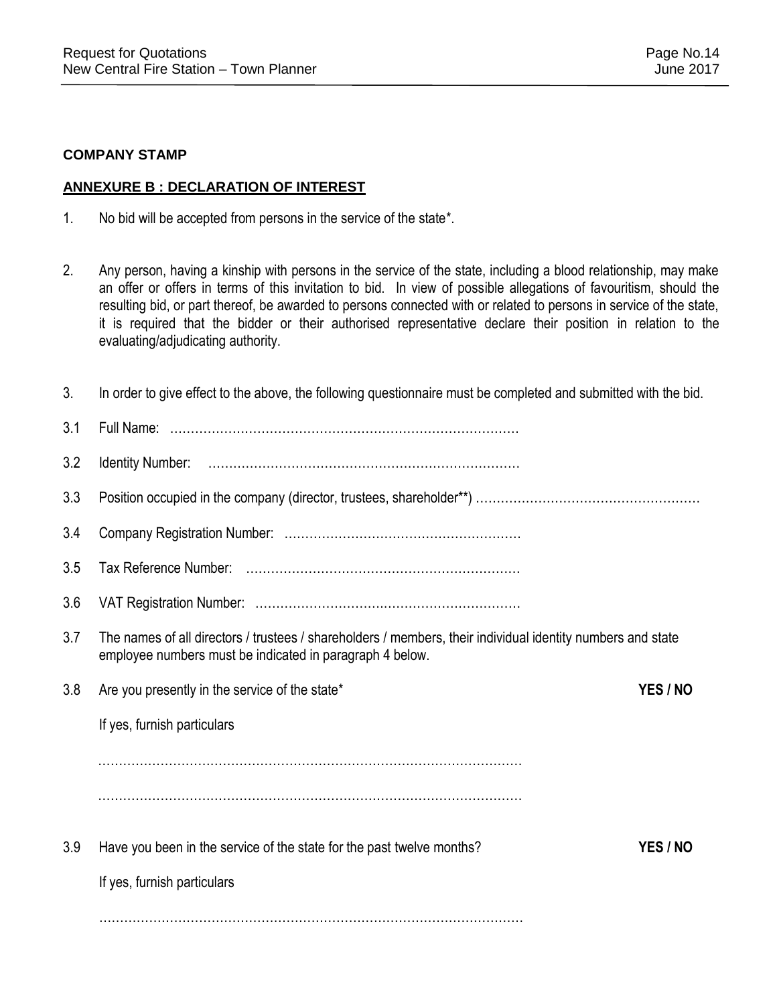### **COMPANY STAMP**

### **ANNEXURE B : DECLARATION OF INTEREST**

- 1. No bid will be accepted from persons in the service of the state\*.
- 2. Any person, having a kinship with persons in the service of the state, including a blood relationship, may make an offer or offers in terms of this invitation to bid. In view of possible allegations of favouritism, should the resulting bid, or part thereof, be awarded to persons connected with or related to persons in service of the state, it is required that the bidder or their authorised representative declare their position in relation to the evaluating/adjudicating authority.

| 3.  | In order to give effect to the above, the following questionnaire must be completed and submitted with the bid.                                                         |          |
|-----|-------------------------------------------------------------------------------------------------------------------------------------------------------------------------|----------|
| 3.1 |                                                                                                                                                                         |          |
| 3.2 |                                                                                                                                                                         |          |
| 3.3 |                                                                                                                                                                         |          |
| 3.4 |                                                                                                                                                                         |          |
| 3.5 |                                                                                                                                                                         |          |
| 3.6 |                                                                                                                                                                         |          |
| 3.7 | The names of all directors / trustees / shareholders / members, their individual identity numbers and state<br>employee numbers must be indicated in paragraph 4 below. |          |
| 3.8 | Are you presently in the service of the state*                                                                                                                          | YES / NO |
|     | If yes, furnish particulars                                                                                                                                             |          |
|     |                                                                                                                                                                         |          |
|     |                                                                                                                                                                         |          |
| 3.9 | Have you been in the service of the state for the past twelve months?                                                                                                   | YES / NO |
|     | If yes, furnish particulars                                                                                                                                             |          |
|     |                                                                                                                                                                         |          |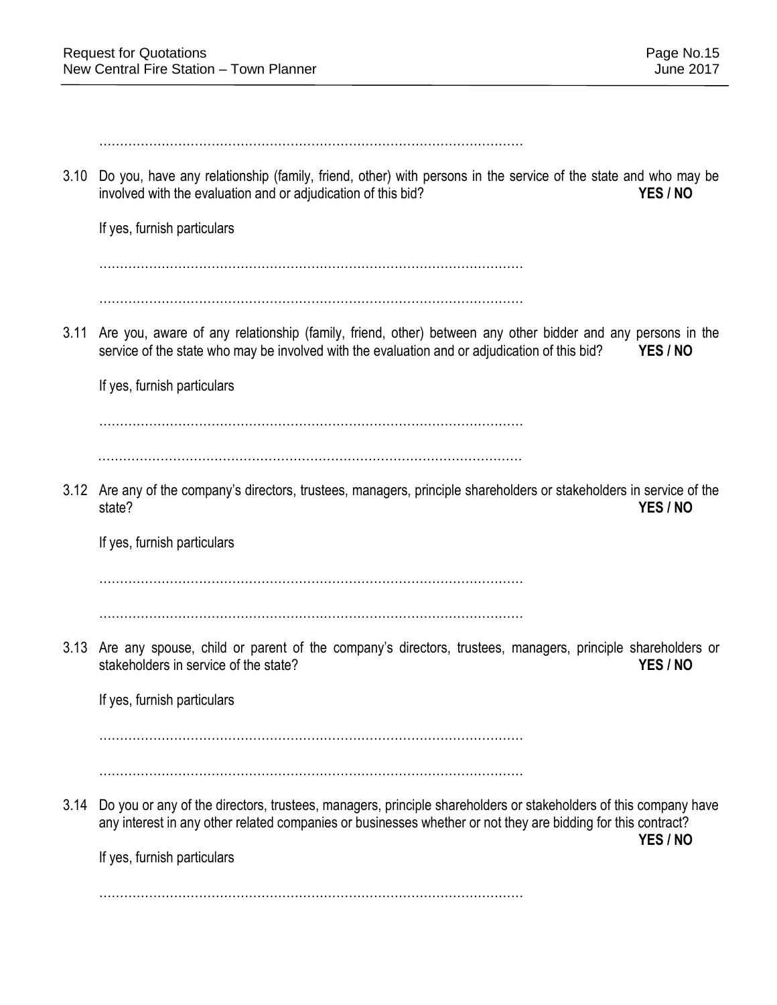………………………………………………………………………………………… 3.10 Do you, have any relationship (family, friend, other) with persons in the service of the state and who may be involved with the evaluation and or adjudication of this bid? **YES / NO** If yes, furnish particulars ………………………………………………………………………………………… ………………………………………………………………………………………… 3.11 Are you, aware of any relationship (family, friend, other) between any other bidder and any persons in the service of the state who may be involved with the evaluation and or adjudication of this bid? **YES / NO** If yes, furnish particulars ………………………………………………………………………………………… ………………………………………………………………………………………… 3.12 Are any of the company's directors, trustees, managers, principle shareholders or stakeholders in service of the state? **YES / NO** If yes, furnish particulars ………………………………………………………………………………………… ………………………………………………………………………………………… 3.13 Are any spouse, child or parent of the company's directors, trustees, managers, principle shareholders or stakeholders in service of the state? *YES / NO* If yes, furnish particulars ………………………………………………………………………………………… ………………………………………………………………………………………… 3.14 Do you or any of the directors, trustees, managers, principle shareholders or stakeholders of this company have any interest in any other related companies or businesses whether or not they are bidding for this contract? **YES / NO** If yes, furnish particulars …………………………………………………………………………………………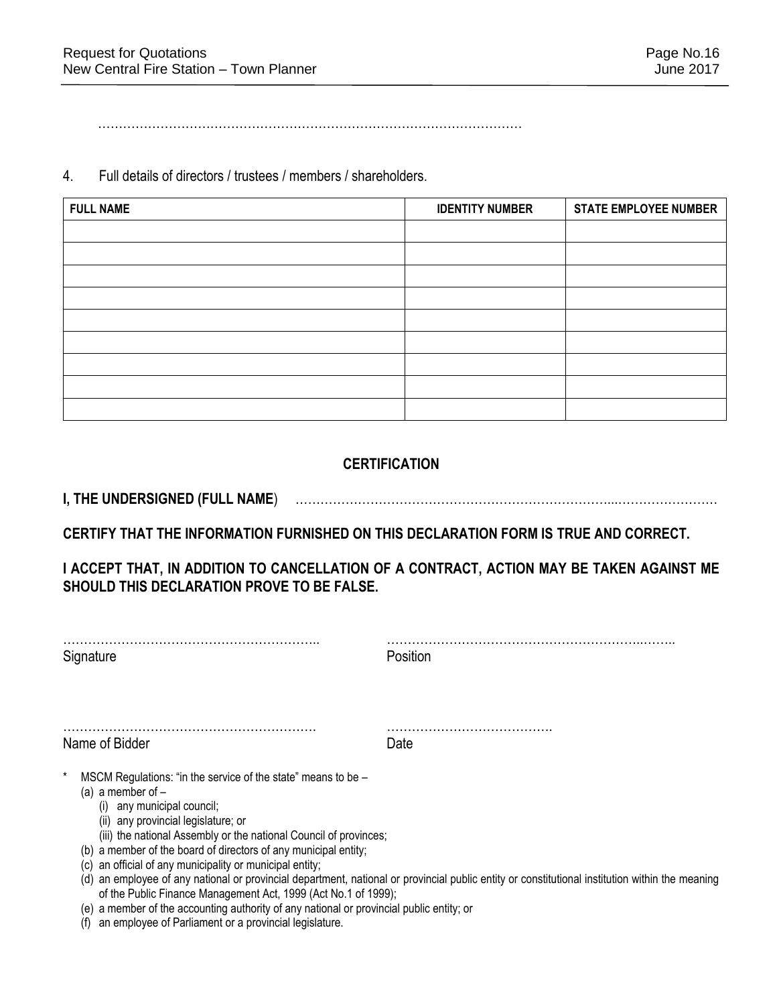…………………………………………………………………………………………

4. Full details of directors / trustees / members / shareholders.

| <b>FULL NAME</b> | <b>IDENTITY NUMBER</b> | <b>STATE EMPLOYEE NUMBER</b> |
|------------------|------------------------|------------------------------|
|                  |                        |                              |
|                  |                        |                              |
|                  |                        |                              |
|                  |                        |                              |
|                  |                        |                              |
|                  |                        |                              |
|                  |                        |                              |
|                  |                        |                              |
|                  |                        |                              |

# **CERTIFICATION**

**I, THE UNDERSIGNED (FULL NAME**) …………………………………………………………………...……………………

**CERTIFY THAT THE INFORMATION FURNISHED ON THIS DECLARATION FORM IS TRUE AND CORRECT.** 

**I ACCEPT THAT, IN ADDITION TO CANCELLATION OF A CONTRACT, ACTION MAY BE TAKEN AGAINST ME SHOULD THIS DECLARATION PROVE TO BE FALSE.** 

| Signature                                                                                                                                                                                                                                                                                                                                                                                                                                                                                                                             | Position                                                                                                                                    |  |
|---------------------------------------------------------------------------------------------------------------------------------------------------------------------------------------------------------------------------------------------------------------------------------------------------------------------------------------------------------------------------------------------------------------------------------------------------------------------------------------------------------------------------------------|---------------------------------------------------------------------------------------------------------------------------------------------|--|
| Name of Bidder                                                                                                                                                                                                                                                                                                                                                                                                                                                                                                                        | Date                                                                                                                                        |  |
| MSCM Regulations: "in the service of the state" means to be -<br>(a) a member of $-$<br>(i) any municipal council;<br>(ii) any provincial legislature; or<br>(iii) the national Assembly or the national Council of provinces;<br>(b) a member of the board of directors of any municipal entity;<br>an official of any municipality or municipal entity;<br>(C)<br>(d)<br>of the Public Finance Management Act, 1999 (Act No.1 of 1999);<br>(e) a member of the accounting authority of any national or provincial public entity; or | an employee of any national or provincial department, national or provincial public entity or constitutional institution within the meaning |  |

(f) an employee of Parliament or a provincial legislature.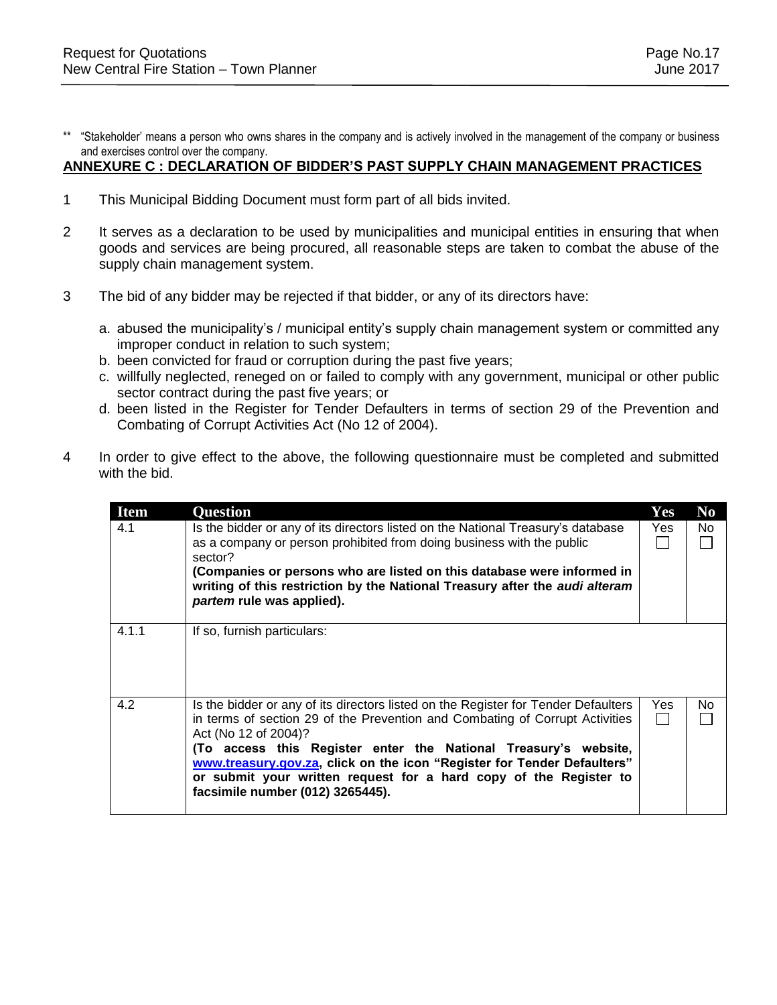\*\* "Stakeholder' means a person who owns shares in the company and is actively involved in the management of the company or business and exercises control over the company.

### **ANNEXURE C : DECLARATION OF BIDDER'S PAST SUPPLY CHAIN MANAGEMENT PRACTICES**

- 1 This Municipal Bidding Document must form part of all bids invited.
- 2 It serves as a declaration to be used by municipalities and municipal entities in ensuring that when goods and services are being procured, all reasonable steps are taken to combat the abuse of the supply chain management system.
- 3 The bid of any bidder may be rejected if that bidder, or any of its directors have:
	- a. abused the municipality's / municipal entity's supply chain management system or committed any improper conduct in relation to such system;
	- b. been convicted for fraud or corruption during the past five years;
	- c. willfully neglected, reneged on or failed to comply with any government, municipal or other public sector contract during the past five years; or
	- d. been listed in the Register for Tender Defaulters in terms of section 29 of the Prevention and Combating of Corrupt Activities Act (No 12 of 2004).
- 4 In order to give effect to the above, the following questionnaire must be completed and submitted with the bid.

| <b>Item</b> | <b>Question</b>                                                                                                                                                                                                                                                                                                                                                                                                                                   | Yes | N <sub>0</sub> |
|-------------|---------------------------------------------------------------------------------------------------------------------------------------------------------------------------------------------------------------------------------------------------------------------------------------------------------------------------------------------------------------------------------------------------------------------------------------------------|-----|----------------|
| 4.1         | Is the bidder or any of its directors listed on the National Treasury's database<br>as a company or person prohibited from doing business with the public<br>sector?<br>(Companies or persons who are listed on this database were informed in<br>writing of this restriction by the National Treasury after the <i>audi alteram</i><br>partem rule was applied).                                                                                 | Yes | No.            |
| 4.1.1       | If so, furnish particulars:                                                                                                                                                                                                                                                                                                                                                                                                                       |     |                |
| 4.2         | Is the bidder or any of its directors listed on the Register for Tender Defaulters<br>in terms of section 29 of the Prevention and Combating of Corrupt Activities<br>Act (No 12 of 2004)?<br>(To access this Register enter the National Treasury's website,<br>www.treasury.gov.za, click on the icon "Register for Tender Defaulters"<br>or submit your written request for a hard copy of the Register to<br>facsimile number (012) 3265445). | Yes | No.            |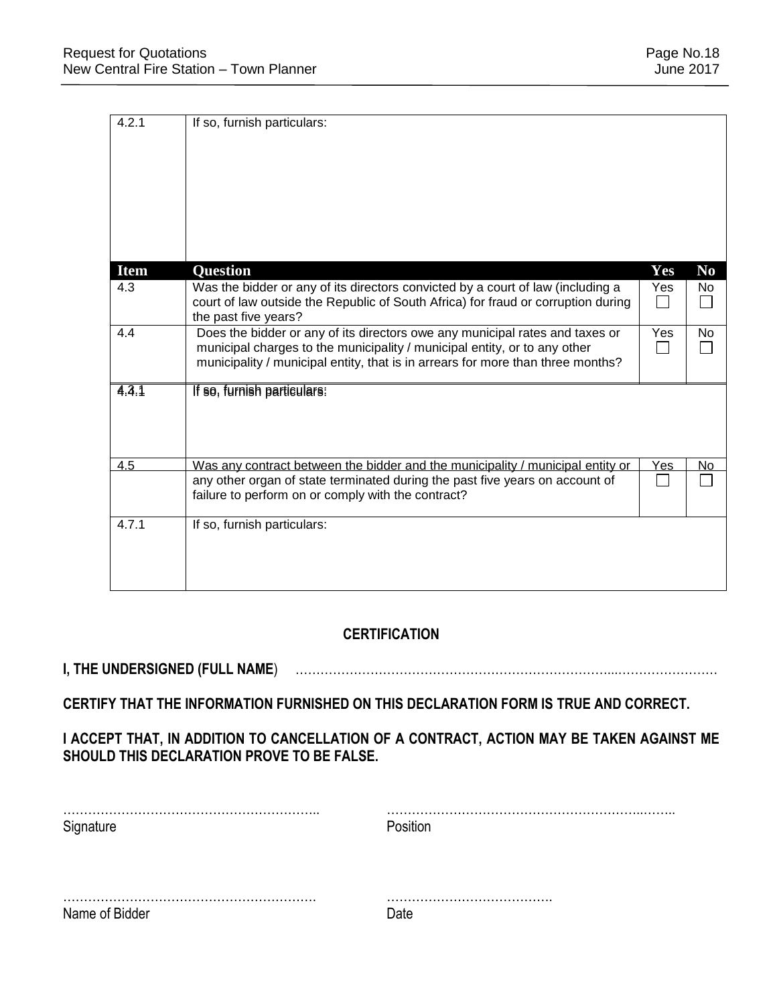| 4.2.1       | If so, furnish particulars:                                                                                                        |            |                        |
|-------------|------------------------------------------------------------------------------------------------------------------------------------|------------|------------------------|
|             |                                                                                                                                    |            |                        |
|             |                                                                                                                                    |            |                        |
|             |                                                                                                                                    |            |                        |
|             |                                                                                                                                    |            |                        |
|             |                                                                                                                                    |            |                        |
|             |                                                                                                                                    |            |                        |
|             |                                                                                                                                    |            |                        |
|             |                                                                                                                                    |            |                        |
| <b>Item</b> | <b>Question</b>                                                                                                                    | Yes        | $\mathbf{N}\mathbf{0}$ |
| 4.3         | Was the bidder or any of its directors convicted by a court of law (including a                                                    | Yes        | No.                    |
|             | court of law outside the Republic of South Africa) for fraud or corruption during                                                  |            |                        |
|             | the past five years?                                                                                                               |            |                        |
| 4.4         | Does the bidder or any of its directors owe any municipal rates and taxes or                                                       | Yes        | No                     |
|             | municipal charges to the municipality / municipal entity, or to any other                                                          |            |                        |
|             | municipality / municipal entity, that is in arrears for more than three months?                                                    |            |                        |
| 4.3.1       | If so, furnish particulars:                                                                                                        |            |                        |
|             |                                                                                                                                    |            |                        |
|             |                                                                                                                                    |            |                        |
|             |                                                                                                                                    |            |                        |
|             |                                                                                                                                    |            |                        |
| 4.5         | Was any contract between the bidder and the municipality / municipal entity or                                                     | <u>Yes</u> | No                     |
|             | any other organ of state terminated during the past five years on account of<br>failure to perform on or comply with the contract? |            |                        |
|             |                                                                                                                                    |            |                        |
| 4.7.1       | If so, furnish particulars:                                                                                                        |            |                        |
|             |                                                                                                                                    |            |                        |
|             |                                                                                                                                    |            |                        |
|             |                                                                                                                                    |            |                        |
|             |                                                                                                                                    |            |                        |

# **CERTIFICATION**

# **I, THE UNDERSIGNED (FULL NAME**) …………………………………………………………………...……………………

# **CERTIFY THAT THE INFORMATION FURNISHED ON THIS DECLARATION FORM IS TRUE AND CORRECT.**

# **I ACCEPT THAT, IN ADDITION TO CANCELLATION OF A CONTRACT, ACTION MAY BE TAKEN AGAINST ME SHOULD THIS DECLARATION PROVE TO BE FALSE.**

| Signature      | Position |
|----------------|----------|
|                |          |
| Name of Bidder | - Date   |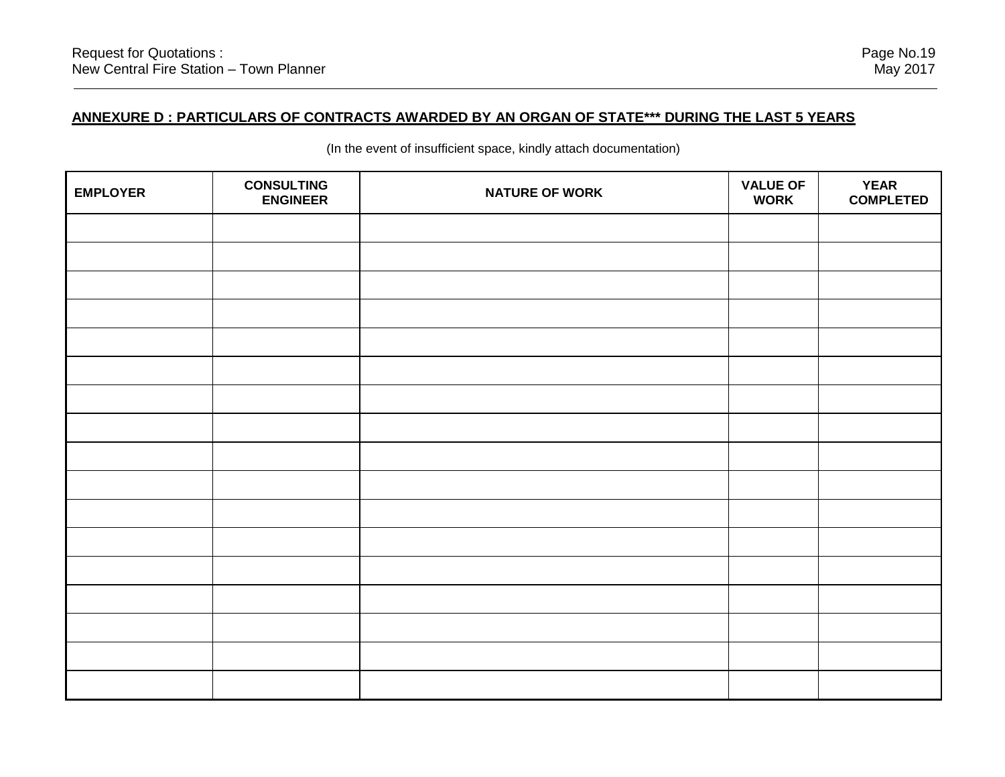| <b>EMPLOYER</b> | <b>CONSULTING</b><br><b>ENGINEER</b> | <b>NATURE OF WORK</b> | <b>VALUE OF</b><br><b>WORK</b> | <b>YEAR</b><br><b>COMPLETED</b> |
|-----------------|--------------------------------------|-----------------------|--------------------------------|---------------------------------|
|                 |                                      |                       |                                |                                 |
|                 |                                      |                       |                                |                                 |
|                 |                                      |                       |                                |                                 |
|                 |                                      |                       |                                |                                 |
|                 |                                      |                       |                                |                                 |
|                 |                                      |                       |                                |                                 |
|                 |                                      |                       |                                |                                 |
|                 |                                      |                       |                                |                                 |
|                 |                                      |                       |                                |                                 |
|                 |                                      |                       |                                |                                 |
|                 |                                      |                       |                                |                                 |
|                 |                                      |                       |                                |                                 |
|                 |                                      |                       |                                |                                 |
|                 |                                      |                       |                                |                                 |
|                 |                                      |                       |                                |                                 |
|                 |                                      |                       |                                |                                 |
|                 |                                      |                       |                                |                                 |

(In the event of insufficient space, kindly attach documentation)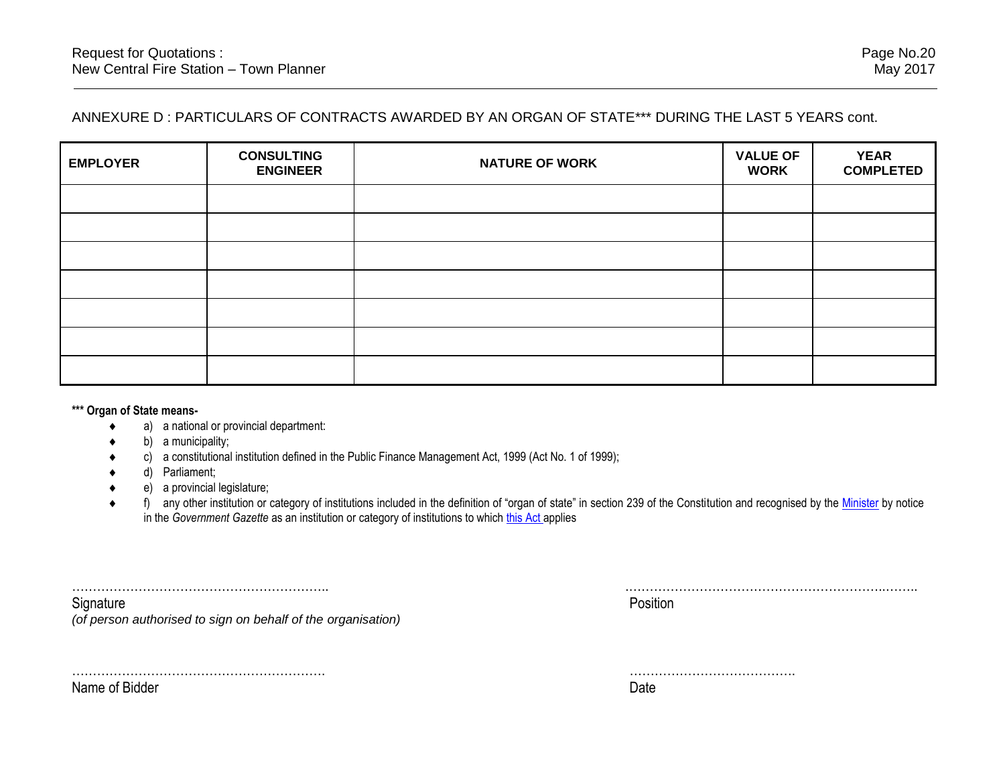# ANNEXURE D : PARTICULARS OF CONTRACTS AWARDED BY AN ORGAN OF STATE\*\*\* DURING THE LAST 5 YEARS cont.

| <b>EMPLOYER</b> | <b>CONSULTING</b><br><b>ENGINEER</b> | <b>NATURE OF WORK</b> | <b>VALUE OF</b><br><b>WORK</b> | <b>YEAR</b><br><b>COMPLETED</b> |
|-----------------|--------------------------------------|-----------------------|--------------------------------|---------------------------------|
|                 |                                      |                       |                                |                                 |
|                 |                                      |                       |                                |                                 |
|                 |                                      |                       |                                |                                 |
|                 |                                      |                       |                                |                                 |
|                 |                                      |                       |                                |                                 |
|                 |                                      |                       |                                |                                 |
|                 |                                      |                       |                                |                                 |

**\*\*\* Organ of State means-**

- a) a national or provincial department:
- b) a municipality;
- c) a constitutional institution defined in the Public Finance Management Act, 1999 (Act No. 1 of 1999);
- d) Parliament;
- e) a provincial legislature;

……………………………………………………. ………………………………….

◆ f) any other institution or category of institutions included in the definition of "organ of state" in section 239 of the Constitution and recognised by the [Minister](javascript:void(0);) by notice in the *Government Gazette* as an institution or category of institutions to which [this Act](javascript:void(0);) applies

| .                                            | . |
|----------------------------------------------|---|
| ٦ı٢                                          |   |
| $\sim$<br>$\sim$<br>$\overline{\phantom{a}}$ |   |

Name of Bidder Date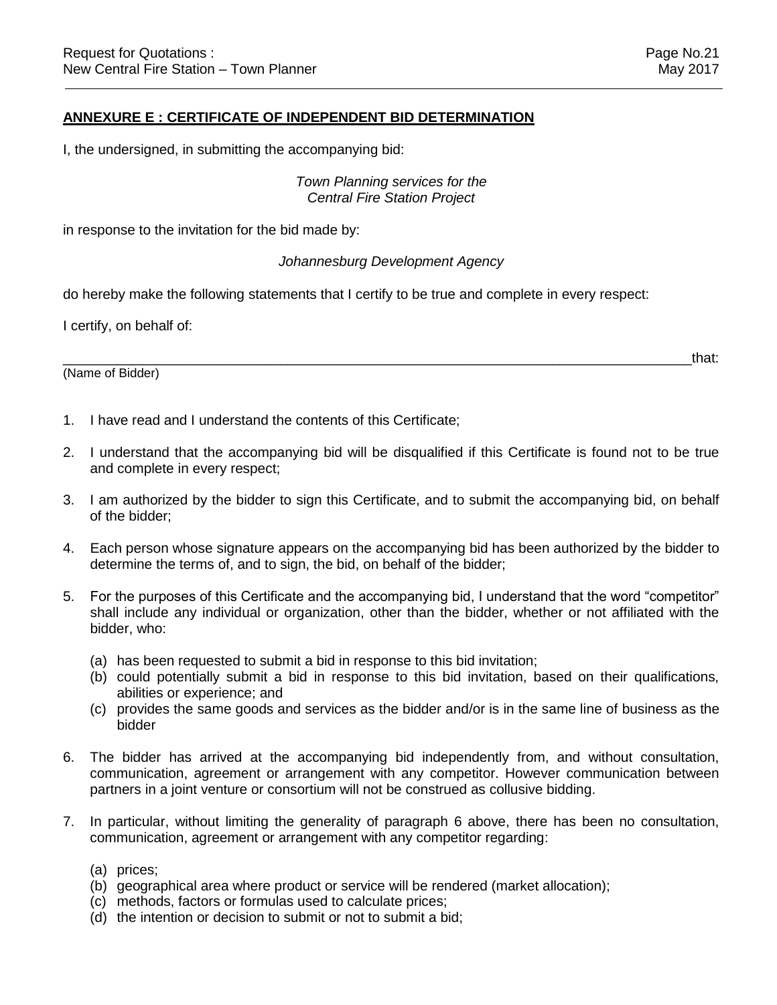### **ANNEXURE E : CERTIFICATE OF INDEPENDENT BID DETERMINATION**

I, the undersigned, in submitting the accompanying bid:

### *Town Planning services for the Central Fire Station Project*

in response to the invitation for the bid made by:

### *Johannesburg Development Agency*

do hereby make the following statements that I certify to be true and complete in every respect:

I certify, on behalf of:

(Name of Bidder)

 $\hbox{and}\hskip1cm \hbox{that}$ 

- 1. I have read and I understand the contents of this Certificate;
- 2. I understand that the accompanying bid will be disqualified if this Certificate is found not to be true and complete in every respect;
- 3. I am authorized by the bidder to sign this Certificate, and to submit the accompanying bid, on behalf of the bidder;
- 4. Each person whose signature appears on the accompanying bid has been authorized by the bidder to determine the terms of, and to sign, the bid, on behalf of the bidder;
- 5. For the purposes of this Certificate and the accompanying bid, I understand that the word "competitor" shall include any individual or organization, other than the bidder, whether or not affiliated with the bidder, who:
	- (a) has been requested to submit a bid in response to this bid invitation;
	- (b) could potentially submit a bid in response to this bid invitation, based on their qualifications, abilities or experience; and
	- (c) provides the same goods and services as the bidder and/or is in the same line of business as the bidder
- 6. The bidder has arrived at the accompanying bid independently from, and without consultation, communication, agreement or arrangement with any competitor. However communication between partners in a joint venture or consortium will not be construed as collusive bidding.
- 7. In particular, without limiting the generality of paragraph 6 above, there has been no consultation, communication, agreement or arrangement with any competitor regarding:
	- (a) prices;
	- (b) geographical area where product or service will be rendered (market allocation);
	- (c) methods, factors or formulas used to calculate prices;
	- (d) the intention or decision to submit or not to submit a bid;